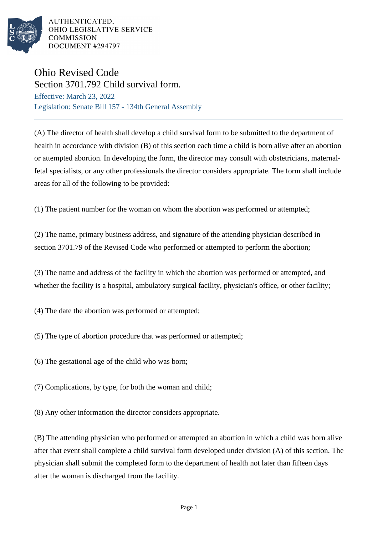

AUTHENTICATED. OHIO LEGISLATIVE SERVICE **COMMISSION** DOCUMENT #294797

## Ohio Revised Code

Section 3701.792 Child survival form. Effective: March 23, 2022 Legislation: Senate Bill 157 - 134th General Assembly

(A) The director of health shall develop a child survival form to be submitted to the department of health in accordance with division (B) of this section each time a child is born alive after an abortion or attempted abortion. In developing the form, the director may consult with obstetricians, maternalfetal specialists, or any other professionals the director considers appropriate. The form shall include areas for all of the following to be provided:

(1) The patient number for the woman on whom the abortion was performed or attempted;

(2) The name, primary business address, and signature of the attending physician described in section 3701.79 of the Revised Code who performed or attempted to perform the abortion;

(3) The name and address of the facility in which the abortion was performed or attempted, and whether the facility is a hospital, ambulatory surgical facility, physician's office, or other facility;

(4) The date the abortion was performed or attempted;

(5) The type of abortion procedure that was performed or attempted;

(6) The gestational age of the child who was born;

(7) Complications, by type, for both the woman and child;

(8) Any other information the director considers appropriate.

(B) The attending physician who performed or attempted an abortion in which a child was born alive after that event shall complete a child survival form developed under division (A) of this section. The physician shall submit the completed form to the department of health not later than fifteen days after the woman is discharged from the facility.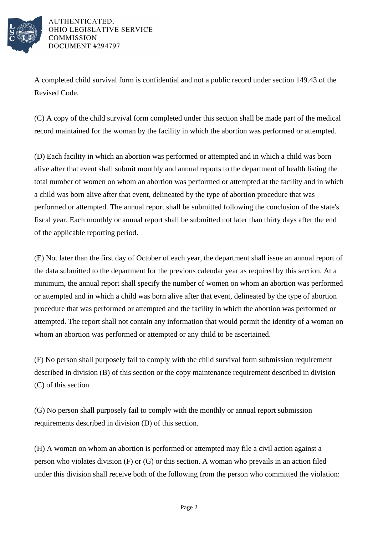

AUTHENTICATED. OHIO LEGISLATIVE SERVICE **COMMISSION** DOCUMENT #294797

A completed child survival form is confidential and not a public record under section 149.43 of the Revised Code.

(C) A copy of the child survival form completed under this section shall be made part of the medical record maintained for the woman by the facility in which the abortion was performed or attempted.

(D) Each facility in which an abortion was performed or attempted and in which a child was born alive after that event shall submit monthly and annual reports to the department of health listing the total number of women on whom an abortion was performed or attempted at the facility and in which a child was born alive after that event, delineated by the type of abortion procedure that was performed or attempted. The annual report shall be submitted following the conclusion of the state's fiscal year. Each monthly or annual report shall be submitted not later than thirty days after the end of the applicable reporting period.

(E) Not later than the first day of October of each year, the department shall issue an annual report of the data submitted to the department for the previous calendar year as required by this section. At a minimum, the annual report shall specify the number of women on whom an abortion was performed or attempted and in which a child was born alive after that event, delineated by the type of abortion procedure that was performed or attempted and the facility in which the abortion was performed or attempted. The report shall not contain any information that would permit the identity of a woman on whom an abortion was performed or attempted or any child to be ascertained.

(F) No person shall purposely fail to comply with the child survival form submission requirement described in division (B) of this section or the copy maintenance requirement described in division (C) of this section.

(G) No person shall purposely fail to comply with the monthly or annual report submission requirements described in division (D) of this section.

(H) A woman on whom an abortion is performed or attempted may file a civil action against a person who violates division (F) or (G) or this section. A woman who prevails in an action filed under this division shall receive both of the following from the person who committed the violation: